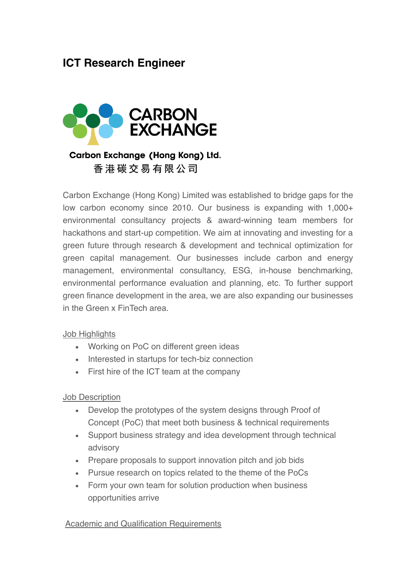# **ICT Research Engineer**



## Carbon Exchange (Hong Kong) Ltd. 香港碳交易有限公司

Carbon Exchange (Hong Kong) Limited was established to bridge gaps for the low carbon economy since 2010. Our business is expanding with 1,000+ environmental consultancy projects & award-winning team members for hackathons and start-up competition. We aim at innovating and investing for a green future through research & development and technical optimization for green capital management. Our businesses include carbon and energy management, environmental consultancy, ESG, in-house benchmarking, environmental performance evaluation and planning, etc. To further support green finance development in the area, we are also expanding our businesses in the Green x FinTech area.

#### Job Highlights

- Working on PoC on different green ideas
- Interested in startups for tech-biz connection
- First hire of the ICT team at the company

#### Job Description

- Develop the prototypes of the system designs through Proof of Concept (PoC) that meet both business & technical requirements
- Support business strategy and idea development through technical advisory
- Prepare proposals to support innovation pitch and job bids
- Pursue research on topics related to the theme of the PoCs
- Form your own team for solution production when business opportunities arrive

#### Academic and Qualification Requirements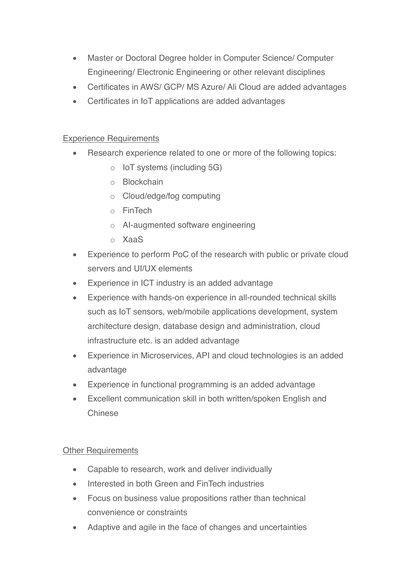- Master or Doctoral Degree holder in Computer Science/ Computer Engineering/ Electronic Engineering or other relevant disciplines
- Certificates in AWS/ GCP/ MS Azure/ Ali Cloud are added advantages
- Certificates in IoT applications are added advantages

### Experience Requirements

- Research experience related to one or more of the following topics:
	- o IoT systems (including 5G)
	- o Blockchain
	- o Cloud/edge/fog computing
	- o FinTech
	- o AI-augmented software engineering
	- o XaaS
- Experience to perform PoC of the research with public or private cloud servers and UI/UX elements
- Experience in ICT industry is an added advantage
- Experience with hands-on experience in all-rounded technical skills such as IoT sensors, web/mobile applications development, system architecture design, database design and administration, cloud infrastructure etc. is an added advantage
- Experience in Microservices, API and cloud technologies is an added advantage
- Experience in functional programming is an added advantage
- Excellent communication skill in both written/spoken English and Chinese

#### Other Requirements

- Capable to research, work and deliver individually
- Interested in both Green and FinTech industries
- Focus on business value propositions rather than technical convenience or constraints
- Adaptive and agile in the face of changes and uncertainties